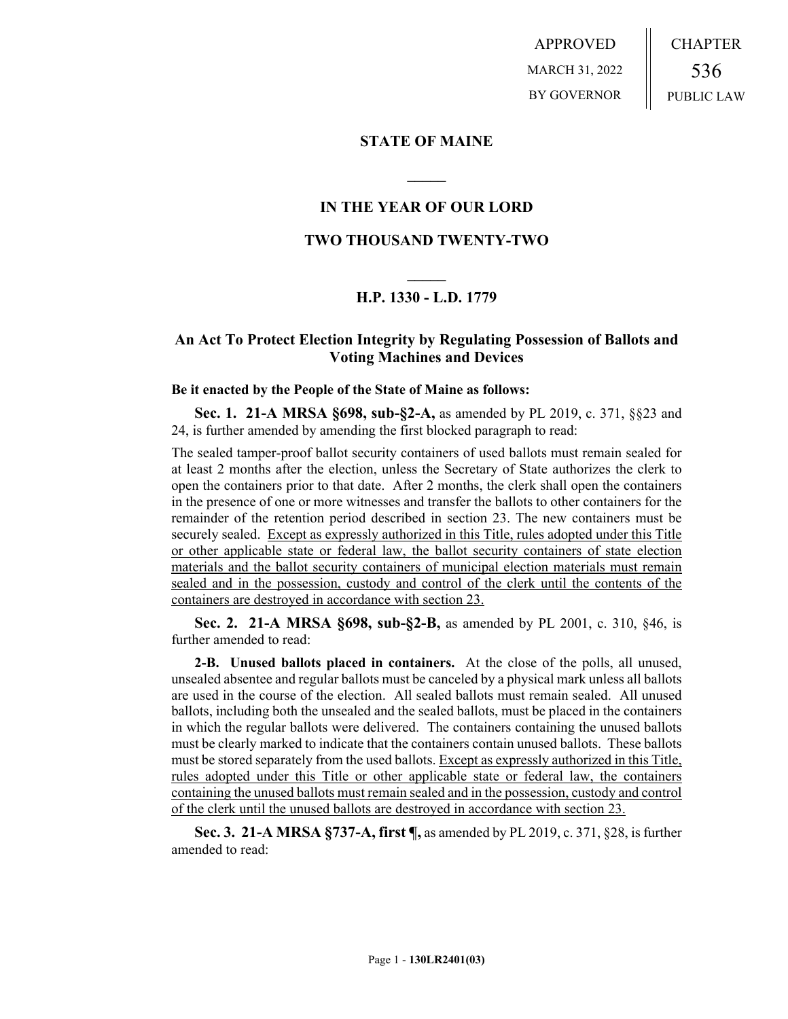APPROVED MARCH 31, 2022 BY GOVERNOR CHAPTER 536 PUBLIC LAW

### **STATE OF MAINE**

## **IN THE YEAR OF OUR LORD**

**\_\_\_\_\_**

### **TWO THOUSAND TWENTY-TWO**

# **\_\_\_\_\_ H.P. 1330 - L.D. 1779**

# **An Act To Protect Election Integrity by Regulating Possession of Ballots and Voting Machines and Devices**

#### **Be it enacted by the People of the State of Maine as follows:**

**Sec. 1. 21-A MRSA §698, sub-§2-A,** as amended by PL 2019, c. 371, §§23 and 24, is further amended by amending the first blocked paragraph to read:

The sealed tamper-proof ballot security containers of used ballots must remain sealed for at least 2 months after the election, unless the Secretary of State authorizes the clerk to open the containers prior to that date. After 2 months, the clerk shall open the containers in the presence of one or more witnesses and transfer the ballots to other containers for the remainder of the retention period described in section 23. The new containers must be securely sealed. Except as expressly authorized in this Title, rules adopted under this Title or other applicable state or federal law, the ballot security containers of state election materials and the ballot security containers of municipal election materials must remain sealed and in the possession, custody and control of the clerk until the contents of the containers are destroyed in accordance with section 23.

**Sec. 2. 21-A MRSA §698, sub-§2-B,** as amended by PL 2001, c. 310, §46, is further amended to read:

**2-B. Unused ballots placed in containers.** At the close of the polls, all unused, unsealed absentee and regular ballots must be canceled by a physical mark unless all ballots are used in the course of the election. All sealed ballots must remain sealed. All unused ballots, including both the unsealed and the sealed ballots, must be placed in the containers in which the regular ballots were delivered. The containers containing the unused ballots must be clearly marked to indicate that the containers contain unused ballots. These ballots must be stored separately from the used ballots. Except as expressly authorized in this Title, rules adopted under this Title or other applicable state or federal law, the containers containing the unused ballots must remain sealed and in the possession, custody and control of the clerk until the unused ballots are destroyed in accordance with section 23.

**Sec. 3. 21-A MRSA §737-A, first ¶,** as amended by PL 2019, c. 371, §28, is further amended to read: